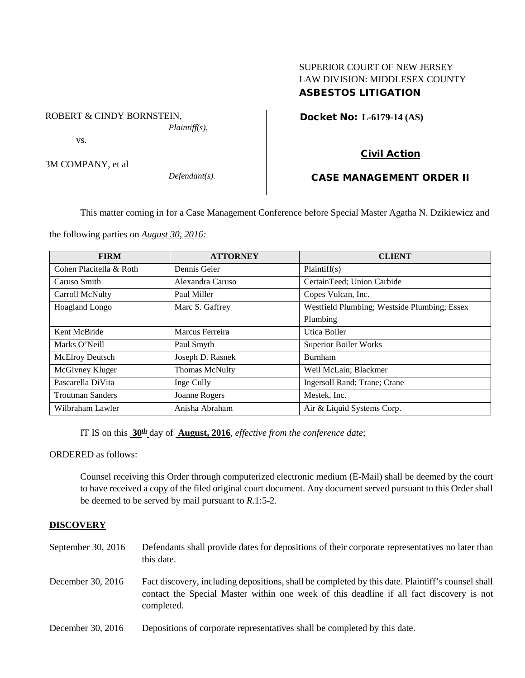## SUPERIOR COURT OF NEW JERSEY LAW DIVISION: MIDDLESEX COUNTY ASBESTOS LITIGATION

Docket No: **L-6179-14 (AS)** 

vs.

ROBERT & CINDY BORNSTEIN,

3M COMPANY, et al

*Defendant(s).*

*Plaintiff(s),*

# Civil Action

# CASE MANAGEMENT ORDER II

This matter coming in for a Case Management Conference before Special Master Agatha N. Dzikiewicz and

the following parties on *August 30, 2016:*

| <b>FIRM</b>             | <b>ATTORNEY</b>       | <b>CLIENT</b>                                |
|-------------------------|-----------------------|----------------------------------------------|
| Cohen Placitella & Roth | Dennis Geier          | Plaintiff(s)                                 |
| Caruso Smith            | Alexandra Caruso      | CertainTeed; Union Carbide                   |
| Carroll McNulty         | Paul Miller           | Copes Vulcan, Inc.                           |
| Hoagland Longo          | Marc S. Gaffrey       | Westfield Plumbing; Westside Plumbing; Essex |
|                         |                       | Plumbing                                     |
| Kent McBride            | Marcus Ferreira       | Utica Boiler                                 |
| Marks O'Neill           | Paul Smyth            | <b>Superior Boiler Works</b>                 |
| McElroy Deutsch         | Joseph D. Rasnek      | Burnham                                      |
| McGivney Kluger         | <b>Thomas McNulty</b> | Weil McLain; Blackmer                        |
| Pascarella DiVita       | Inge Cully            | Ingersoll Rand; Trane; Crane                 |
| <b>Troutman Sanders</b> | Joanne Rogers         | Mestek, Inc.                                 |
| Wilbraham Lawler        | Anisha Abraham        | Air & Liquid Systems Corp.                   |

IT IS on this **30th** day of **August, 2016**, *effective from the conference date;*

ORDERED as follows:

Counsel receiving this Order through computerized electronic medium (E-Mail) shall be deemed by the court to have received a copy of the filed original court document. Any document served pursuant to this Order shall be deemed to be served by mail pursuant to *R*.1:5-2.

# **DISCOVERY**

September 30, 2016 Defendants shall provide dates for depositions of their corporate representatives no later than this date. December 30, 2016 Fact discovery, including depositions, shall be completed by this date. Plaintiff's counsel shall contact the Special Master within one week of this deadline if all fact discovery is not completed. December 30, 2016 Depositions of corporate representatives shall be completed by this date.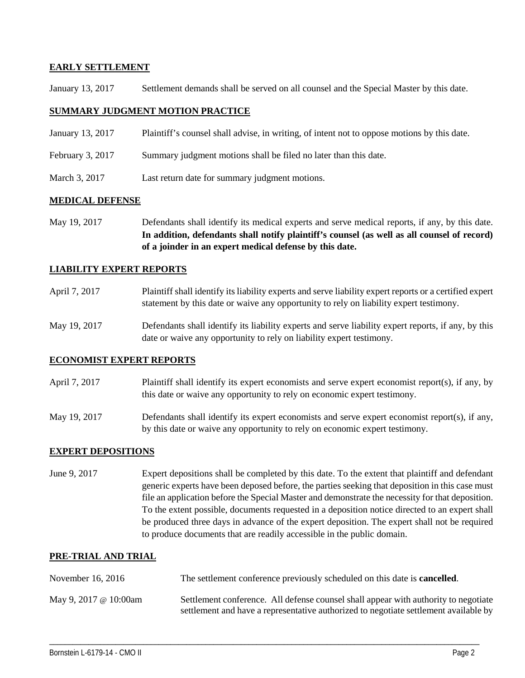### **EARLY SETTLEMENT**

January 13, 2017 Settlement demands shall be served on all counsel and the Special Master by this date.

### **SUMMARY JUDGMENT MOTION PRACTICE**

- January 13, 2017 Plaintiff's counsel shall advise, in writing, of intent not to oppose motions by this date.
- February 3, 2017 Summary judgment motions shall be filed no later than this date.
- March 3, 2017 Last return date for summary judgment motions.

### **MEDICAL DEFENSE**

May 19, 2017 Defendants shall identify its medical experts and serve medical reports, if any, by this date. **In addition, defendants shall notify plaintiff's counsel (as well as all counsel of record) of a joinder in an expert medical defense by this date.**

### **LIABILITY EXPERT REPORTS**

- April 7, 2017 Plaintiff shall identify its liability experts and serve liability expert reports or a certified expert statement by this date or waive any opportunity to rely on liability expert testimony.
- May 19, 2017 Defendants shall identify its liability experts and serve liability expert reports, if any, by this date or waive any opportunity to rely on liability expert testimony.

#### **ECONOMIST EXPERT REPORTS**

- April 7, 2017 Plaintiff shall identify its expert economists and serve expert economist report(s), if any, by this date or waive any opportunity to rely on economic expert testimony.
- May 19, 2017 Defendants shall identify its expert economists and serve expert economist report(s), if any, by this date or waive any opportunity to rely on economic expert testimony.

## **EXPERT DEPOSITIONS**

June 9, 2017 Expert depositions shall be completed by this date. To the extent that plaintiff and defendant generic experts have been deposed before, the parties seeking that deposition in this case must file an application before the Special Master and demonstrate the necessity for that deposition. To the extent possible, documents requested in a deposition notice directed to an expert shall be produced three days in advance of the expert deposition. The expert shall not be required to produce documents that are readily accessible in the public domain.

#### **PRE-TRIAL AND TRIAL**

| November 16, 2016            | The settlement conference previously scheduled on this date is <b>cancelled</b> .                                                                                           |
|------------------------------|-----------------------------------------------------------------------------------------------------------------------------------------------------------------------------|
| May 9, 2017 $\omega$ 10:00am | Settlement conference. All defense counsel shall appear with authority to negotiate<br>settlement and have a representative authorized to negotiate settlement available by |

\_\_\_\_\_\_\_\_\_\_\_\_\_\_\_\_\_\_\_\_\_\_\_\_\_\_\_\_\_\_\_\_\_\_\_\_\_\_\_\_\_\_\_\_\_\_\_\_\_\_\_\_\_\_\_\_\_\_\_\_\_\_\_\_\_\_\_\_\_\_\_\_\_\_\_\_\_\_\_\_\_\_\_\_\_\_\_\_\_\_\_\_\_\_\_\_\_\_\_\_\_\_\_\_\_\_\_\_\_\_